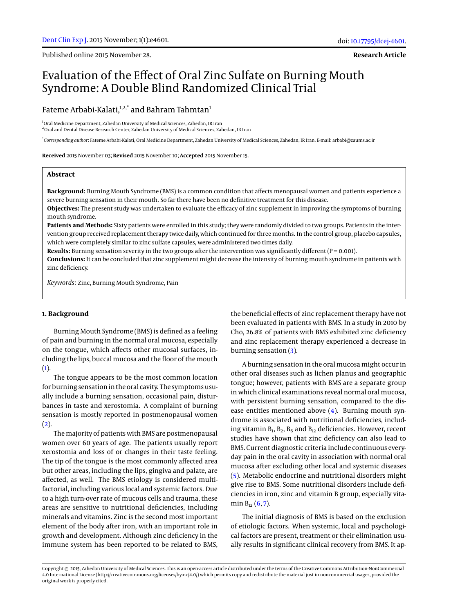Published online 2015 November 28.

**Research Article**

# Evaluation of the Effect of Oral Zinc Sulfate on Burning Mouth Syndrome: A Double Blind Randomized Clinical Trial

# Fateme Arbabi-Kalati, $1,2,3$ <sup>+</sup> and Bahram Tahmtan<sup>1</sup>

<sup>1</sup>Oral Medicine Department, Zahedan University of Medical Sciences, Zahedan, IR Iran <sup>2</sup>Oral and Dental Disease Research Center, Zahedan University of Medical Sciences, Zahedan, IR Iran

\* *Corresponding author*: Fateme Arbabi-Kalati, Oral Medicine Department, Zahedan University of Medical Sciences, Zahedan, IR Iran. E-mail: arbabi@zaums.ac.ir

**Received** 2015 November 03; **Revised** 2015 November 10; **Accepted** 2015 November 15.

# **Abstract**

**Background:** Burning Mouth Syndrome (BMS) is a common condition that affects menopausal women and patients experience a severe burning sensation in their mouth. So far there have been no definitive treatment for this disease.

**Objectives:** The present study was undertaken to evaluate the efficacy of zinc supplement in improving the symptoms of burning mouth syndrome.

**Patients and Methods:** Sixty patients were enrolled in this study; they were randomly divided to two groups. Patients in the intervention group received replacement therapy twice daily, which continued for three months. In the control group, placebo capsules, which were completely similar to zinc sulfate capsules, were administered two times daily.

**Results:** Burning sensation severity in the two groups after the intervention was significantly different ( $P = 0.001$ ).

**Conclusions:** It can be concluded that zinc supplement might decrease the intensity of burning mouth syndrome in patients with zinc deficiency.

*Keywords:* Zinc, Burning Mouth Syndrome, Pain

#### **1. Background**

Burning Mouth Syndrome (BMS) is defined as a feeling of pain and burning in the normal oral mucosa, especially on the tongue, which affects other mucosal surfaces, including the lips, buccal mucosa and the floor of the mouth  $(1).$  $(1).$ 

The tongue appears to be the most common location for burning sensation in the oral cavity. The symptoms usually include a burning sensation, occasional pain, disturbances in taste and xerostomia. A complaint of burning sensation is mostly reported in postmenopausal women  $(2).$  $(2).$ 

The majority of patients with BMS are postmenopausal women over 60 years of age. The patients usually report xerostomia and loss of or changes in their taste feeling. The tip of the tongue is the most commonly affected area but other areas, including the lips, gingiva and palate, are affected, as well. The BMS etiology is considered multifactorial, including various local and systemic factors. Due to a high turn-over rate of mucous cells and trauma, these areas are sensitive to nutritional deficiencies, including minerals and vitamins. Zinc is the second most important element of the body after iron, with an important role in growth and development. Although zinc deficiency in the immune system has been reported to be related to BMS,

the beneficial effects of zinc replacement therapy have not been evaluated in patients with BMS. In a study in 2010 by Cho, 26.8% of patients with BMS exhibited zinc deficiency and zinc replacement therapy experienced a decrease in burning sensation [\(3\)](#page-2-2).

A burning sensation in the oral mucosa might occur in other oral diseases such as lichen planus and geographic tongue; however, patients with BMS are a separate group in which clinical examinations reveal normal oral mucosa, with persistent burning sensation, compared to the disease entities mentioned above [\(4\)](#page-2-3). Burning mouth syndrome is associated with nutritional deficiencies, including vitamin  $B_1$ ,  $B_2$ ,  $B_6$  and  $B_{12}$  deficiencies. However, recent studies have shown that zinc deficiency can also lead to BMS. Current diagnostic criteria include continuous everyday pain in the oral cavity in association with normal oral mucosa after excluding other local and systemic diseases [\(5\)](#page-2-4). Metabolic endocrine and nutritional disorders might give rise to BMS. Some nutritional disorders include deficiencies in iron, zinc and vitamin B group, especially vitamin  $B_{12}$  [\(6,](#page-2-5) [7\)](#page-2-6).

The initial diagnosis of BMS is based on the exclusion of etiologic factors. When systemic, local and psychological factors are present, treatment or their elimination usually results in significant clinical recovery from BMS. It ap-

Copyright © 2015, Zahedan University of Medical Sciences. This is an open-access article distributed under the terms of the Creative Commons Attribution-NonCommercial 4.0 International License (http://creativecommons.org/licenses/by-nc/4.0/) which permits copy and redistribute the material just in noncommercial usages, provided the original work is properly cited.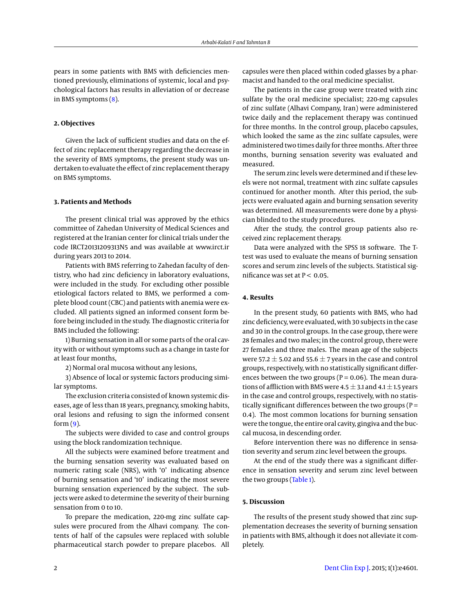pears in some patients with BMS with deficiencies mentioned previously, eliminations of systemic, local and psychological factors has results in alleviation of or decrease in BMS symptoms [\(8\)](#page-2-7).

## **2. Objectives**

Given the lack of sufficient studies and data on the effect of zinc replacement therapy regarding the decrease in the severity of BMS symptoms, the present study was undertaken to evaluate the effect of zinc replacement therapy on BMS symptoms.

#### **3. Patients and Methods**

The present clinical trial was approved by the ethics committee of Zahedan University of Medical Sciences and registered at the Iranian center for clinical trials under the code IRCT20131209313N5 and was available at www.irct.ir during years 2013 to 2014.

Patients with BMS referring to Zahedan faculty of dentistry, who had zinc deficiency in laboratory evaluations, were included in the study. For excluding other possible etiological factors related to BMS, we performed a complete blood count (CBC) and patients with anemia were excluded. All patients signed an informed consent form before being included in the study. The diagnostic criteria for BMS included the following:

1) Burning sensation in all or some parts of the oral cavity with or without symptoms such as a change in taste for at least four months,

2) Normal oral mucosa without any lesions,

3) Absence of local or systemic factors producing similar symptoms.

The exclusion criteria consisted of known systemic diseases, age of less than 18 years, pregnancy, smoking habits, oral lesions and refusing to sign the informed consent  $form (9)$  $form (9)$ .

The subjects were divided to case and control groups using the block randomization technique.

All the subjects were examined before treatment and the burning sensation severity was evaluated based on numeric rating scale (NRS), with '0' indicating absence of burning sensation and '10' indicating the most severe burning sensation experienced by the subject. The subjects were asked to determine the severity of their burning sensation from 0 to 10.

To prepare the medication, 220-mg zinc sulfate capsules were procured from the Alhavi company. The contents of half of the capsules were replaced with soluble pharmaceutical starch powder to prepare placebos. All

capsules were then placed within coded glasses by a pharmacist and handed to the oral medicine specialist.

The patients in the case group were treated with zinc sulfate by the oral medicine specialist; 220-mg capsules of zinc sulfate (Alhavi Company, Iran) were administered twice daily and the replacement therapy was continued for three months. In the control group, placebo capsules, which looked the same as the zinc sulfate capsules, were administered two times daily for three months. After three months, burning sensation severity was evaluated and measured.

The serum zinc levels were determined and if these levels were not normal, treatment with zinc sulfate capsules continued for another month. After this period, the subjects were evaluated again and burning sensation severity was determined. All measurements were done by a physician blinded to the study procedures.

After the study, the control group patients also received zinc replacement therapy.

Data were analyzed with the SPSS 18 software. The Ttest was used to evaluate the means of burning sensation scores and serum zinc levels of the subjects. Statistical significance was set at  $P < 0.05$ .

# **4. Results**

In the present study, 60 patients with BMS, who had zinc deficiency, were evaluated, with 30 subjects in the case and 30 in the control groups. In the case group, there were 28 females and two males; in the control group, there were 27 females and three males. The mean age of the subjects were 57.2  $\pm$  5.02 and 55.6  $\pm$  7 years in the case and control groups, respectively, with no statistically significant differences between the two groups ( $P = 0.06$ ). The mean durations of affliction with BMS were  $4.5 \pm 3.1$  and  $4.1 \pm 1.5$  years in the case and control groups, respectively, with no statistically significant differences between the two groups ( $P =$ 0.4). The most common locations for burning sensation were the tongue, the entire oral cavity, gingiva and the buccal mucosa, in descending order.

Before intervention there was no difference in sensation severity and serum zinc level between the groups.

At the end of the study there was a significant difference in sensation severity and serum zinc level between the two groups [\(Table 1\)](#page-2-9).

# **5. Discussion**

The results of the present study showed that zinc supplementation decreases the severity of burning sensation in patients with BMS, although it does not alleviate it completely.